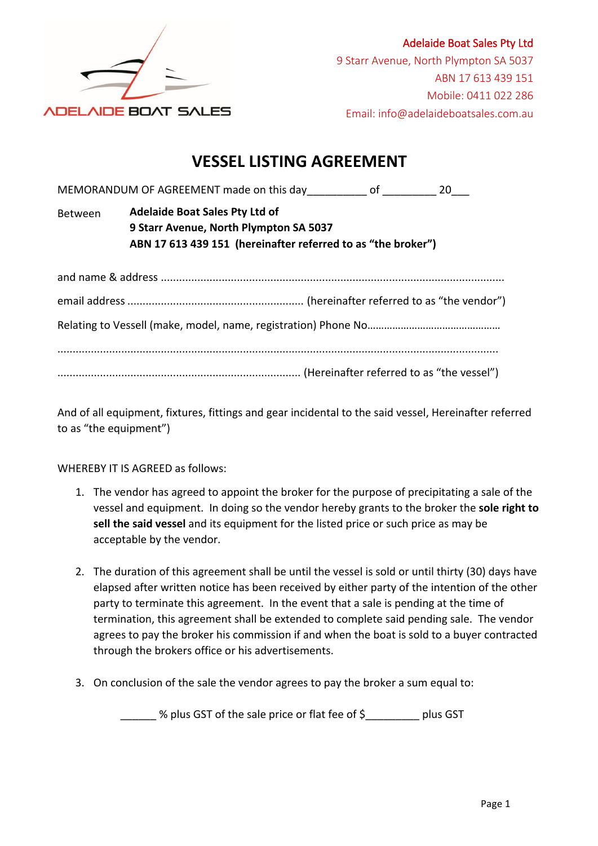

## **VESSEL LISTING AGREEMENT**

MEMORANDUM OF AGREEMENT made on this day\_\_\_\_\_\_\_\_\_\_\_ of \_\_\_\_\_\_\_\_\_\_ 20\_\_\_

Between **Adelaide Boat Sales Pty Ltd of 9 Starr Avenue, North Plympton SA 5037** ABN 17 613 439 151 (hereinafter referred to as "the broker")

And of all equipment, fixtures, fittings and gear incidental to the said vessel, Hereinafter referred to as "the equipment")

WHEREBY IT IS AGREED as follows:

- 1. The vendor has agreed to appoint the broker for the purpose of precipitating a sale of the vessel and equipment. In doing so the vendor hereby grants to the broker the **sole right to** sell the said vessel and its equipment for the listed price or such price as may be acceptable by the vendor.
- 2. The duration of this agreement shall be until the vessel is sold or until thirty (30) days have elapsed after written notice has been received by either party of the intention of the other party to terminate this agreement. In the event that a sale is pending at the time of termination, this agreement shall be extended to complete said pending sale. The vendor agrees to pay the broker his commission if and when the boat is sold to a buyer contracted through the brokers office or his advertisements.
- 3. On conclusion of the sale the vendor agrees to pay the broker a sum equal to:

\_\_\_\_\_\_ % plus GST of the sale price or flat fee of \$\_\_\_\_\_\_\_\_\_ plus GST